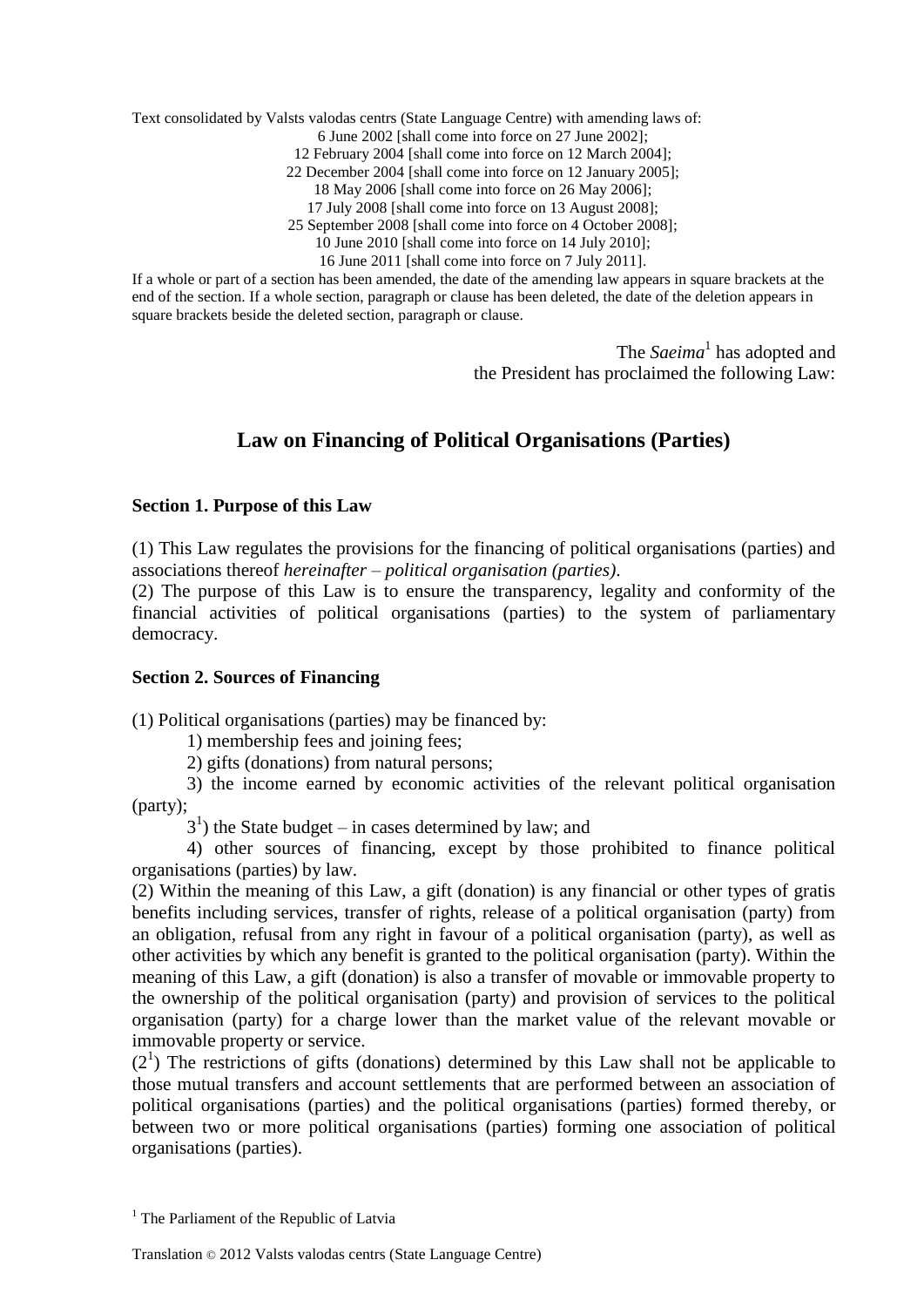Text consolidated by Valsts valodas centrs (State Language Centre) with amending laws of:

6 June 2002 [shall come into force on 27 June 2002];

12 February 2004 [shall come into force on 12 March 2004];

22 December 2004 [shall come into force on 12 January 2005];

18 May 2006 [shall come into force on 26 May 2006];

17 July 2008 [shall come into force on 13 August 2008];

25 September 2008 [shall come into force on 4 October 2008];

10 June 2010 [shall come into force on 14 July 2010];

16 June 2011 [shall come into force on 7 July 2011].

If a whole or part of a section has been amended, the date of the amending law appears in square brackets at the end of the section. If a whole section, paragraph or clause has been deleted, the date of the deletion appears in square brackets beside the deleted section, paragraph or clause.

> The *Saeima*<sup>1</sup> has adopted and the President has proclaimed the following Law:

# **Law on Financing of Political Organisations (Parties)**

### **Section 1. Purpose of this Law**

(1) This Law regulates the provisions for the financing of political organisations (parties) and associations thereof *hereinafter – political organisation (parties)*.

(2) The purpose of this Law is to ensure the transparency, legality and conformity of the financial activities of political organisations (parties) to the system of parliamentary democracy.

### **Section 2. Sources of Financing**

(1) Political organisations (parties) may be financed by:

1) membership fees and joining fees;

2) gifts (donations) from natural persons;

3) the income earned by economic activities of the relevant political organisation (party);

 $3<sup>1</sup>$ ) the State budget – in cases determined by law; and

4) other sources of financing, except by those prohibited to finance political organisations (parties) by law.

(2) Within the meaning of this Law, a gift (donation) is any financial or other types of gratis benefits including services, transfer of rights, release of a political organisation (party) from an obligation, refusal from any right in favour of a political organisation (party), as well as other activities by which any benefit is granted to the political organisation (party). Within the meaning of this Law, a gift (donation) is also a transfer of movable or immovable property to the ownership of the political organisation (party) and provision of services to the political organisation (party) for a charge lower than the market value of the relevant movable or immovable property or service.

 $(2<sup>1</sup>)$  The restrictions of gifts (donations) determined by this Law shall not be applicable to those mutual transfers and account settlements that are performed between an association of political organisations (parties) and the political organisations (parties) formed thereby, or between two or more political organisations (parties) forming one association of political organisations (parties).

 $<sup>1</sup>$  The Parliament of the Republic of Latvia</sup>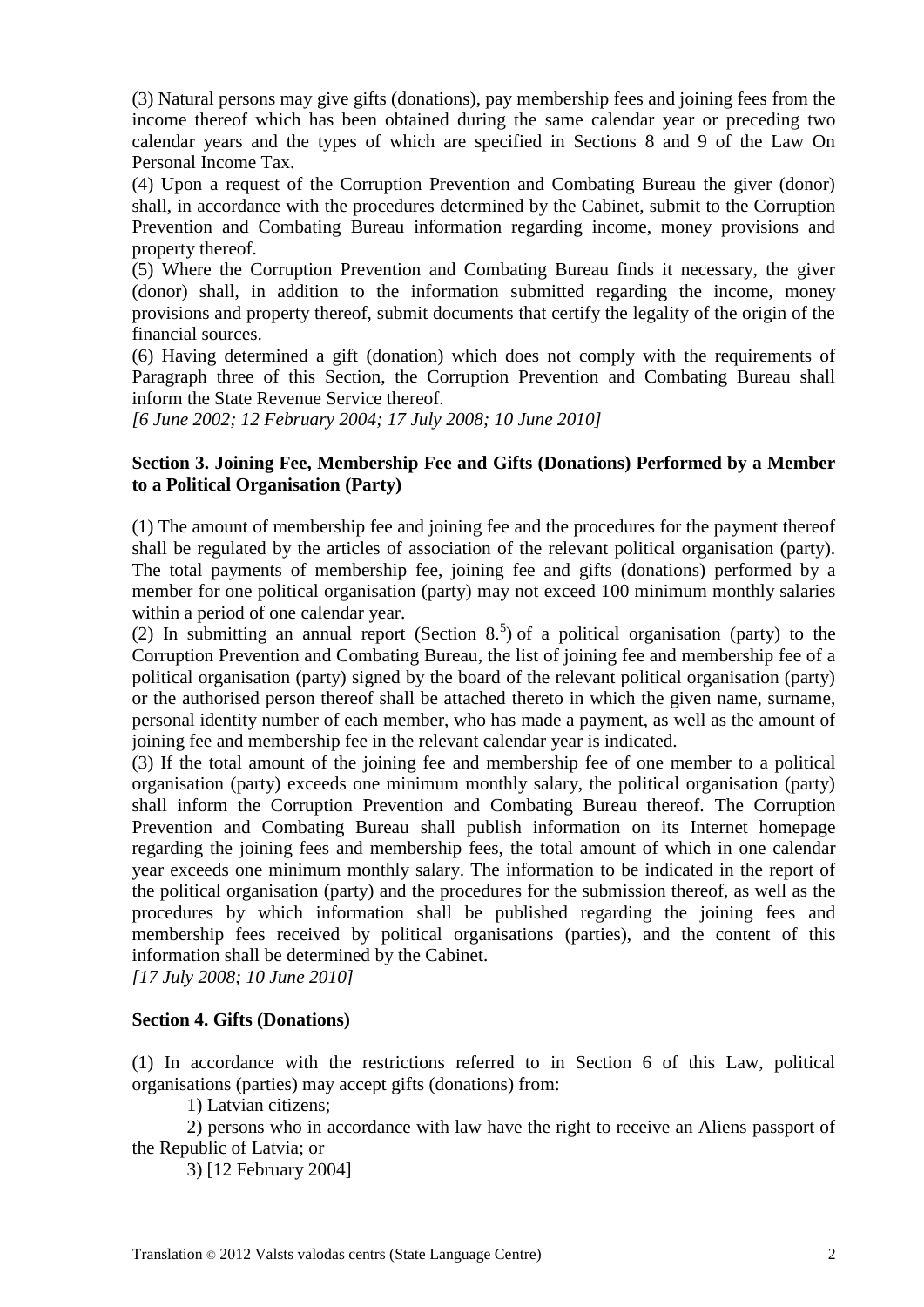(3) Natural persons may give gifts (donations), pay membership fees and joining fees from the income thereof which has been obtained during the same calendar year or preceding two calendar years and the types of which are specified in Sections 8 and 9 of the Law On Personal Income Tax.

(4) Upon a request of the Corruption Prevention and Combating Bureau the giver (donor) shall, in accordance with the procedures determined by the Cabinet, submit to the Corruption Prevention and Combating Bureau information regarding income, money provisions and property thereof.

(5) Where the Corruption Prevention and Combating Bureau finds it necessary, the giver (donor) shall, in addition to the information submitted regarding the income, money provisions and property thereof, submit documents that certify the legality of the origin of the financial sources.

(6) Having determined a gift (donation) which does not comply with the requirements of Paragraph three of this Section, the Corruption Prevention and Combating Bureau shall inform the State Revenue Service thereof.

*[6 June 2002; 12 February 2004; 17 July 2008; 10 June 2010]*

## **Section 3. Joining Fee, Membership Fee and Gifts (Donations) Performed by a Member to a Political Organisation (Party)**

(1) The amount of membership fee and joining fee and the procedures for the payment thereof shall be regulated by the articles of association of the relevant political organisation (party). The total payments of membership fee, joining fee and gifts (donations) performed by a member for one political organisation (party) may not exceed 100 minimum monthly salaries within a period of one calendar year.

(2) In submitting an annual report (Section  $8.5$ ) of a political organisation (party) to the Corruption Prevention and Combating Bureau, the list of joining fee and membership fee of a political organisation (party) signed by the board of the relevant political organisation (party) or the authorised person thereof shall be attached thereto in which the given name, surname, personal identity number of each member, who has made a payment, as well as the amount of joining fee and membership fee in the relevant calendar year is indicated.

(3) If the total amount of the joining fee and membership fee of one member to a political organisation (party) exceeds one minimum monthly salary, the political organisation (party) shall inform the Corruption Prevention and Combating Bureau thereof. The Corruption Prevention and Combating Bureau shall publish information on its Internet homepage regarding the joining fees and membership fees, the total amount of which in one calendar year exceeds one minimum monthly salary. The information to be indicated in the report of the political organisation (party) and the procedures for the submission thereof, as well as the procedures by which information shall be published regarding the joining fees and membership fees received by political organisations (parties), and the content of this information shall be determined by the Cabinet.

*[17 July 2008; 10 June 2010]*

### **Section 4. Gifts (Donations)**

(1) In accordance with the restrictions referred to in Section 6 of this Law, political organisations (parties) may accept gifts (donations) from:

1) Latvian citizens;

2) persons who in accordance with law have the right to receive an Aliens passport of the Republic of Latvia; or

3) [12 February 2004]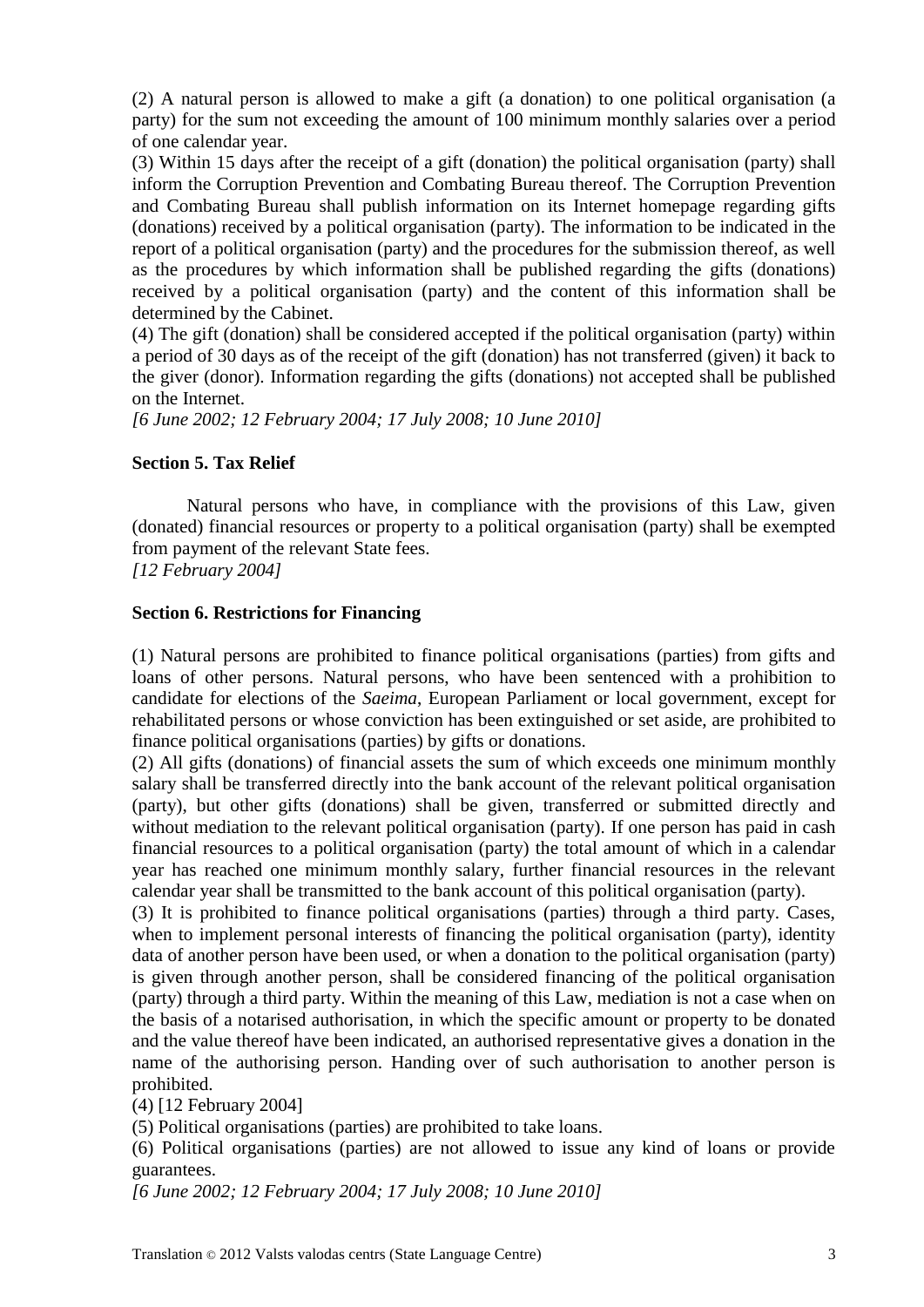(2) A natural person is allowed to make a gift (a donation) to one political organisation (a party) for the sum not exceeding the amount of 100 minimum monthly salaries over a period of one calendar year.

(3) Within 15 days after the receipt of a gift (donation) the political organisation (party) shall inform the Corruption Prevention and Combating Bureau thereof. The Corruption Prevention and Combating Bureau shall publish information on its Internet homepage regarding gifts (donations) received by a political organisation (party). The information to be indicated in the report of a political organisation (party) and the procedures for the submission thereof, as well as the procedures by which information shall be published regarding the gifts (donations) received by a political organisation (party) and the content of this information shall be determined by the Cabinet.

(4) The gift (donation) shall be considered accepted if the political organisation (party) within a period of 30 days as of the receipt of the gift (donation) has not transferred (given) it back to the giver (donor). Information regarding the gifts (donations) not accepted shall be published on the Internet.

*[6 June 2002; 12 February 2004; 17 July 2008; 10 June 2010]*

## **Section 5. Tax Relief**

Natural persons who have, in compliance with the provisions of this Law, given (donated) financial resources or property to a political organisation (party) shall be exempted from payment of the relevant State fees.

*[12 February 2004]*

### **Section 6. Restrictions for Financing**

(1) Natural persons are prohibited to finance political organisations (parties) from gifts and loans of other persons. Natural persons, who have been sentenced with a prohibition to candidate for elections of the *Saeima*, European Parliament or local government, except for rehabilitated persons or whose conviction has been extinguished or set aside, are prohibited to finance political organisations (parties) by gifts or donations.

(2) All gifts (donations) of financial assets the sum of which exceeds one minimum monthly salary shall be transferred directly into the bank account of the relevant political organisation (party), but other gifts (donations) shall be given, transferred or submitted directly and without mediation to the relevant political organisation (party). If one person has paid in cash financial resources to a political organisation (party) the total amount of which in a calendar year has reached one minimum monthly salary, further financial resources in the relevant calendar year shall be transmitted to the bank account of this political organisation (party).

(3) It is prohibited to finance political organisations (parties) through a third party. Cases, when to implement personal interests of financing the political organisation (party), identity data of another person have been used, or when a donation to the political organisation (party) is given through another person, shall be considered financing of the political organisation (party) through a third party. Within the meaning of this Law, mediation is not a case when on the basis of a notarised authorisation, in which the specific amount or property to be donated and the value thereof have been indicated, an authorised representative gives a donation in the name of the authorising person. Handing over of such authorisation to another person is prohibited.

(4) [12 February 2004]

(5) Political organisations (parties) are prohibited to take loans.

(6) Political organisations (parties) are not allowed to issue any kind of loans or provide guarantees.

*[6 June 2002; 12 February 2004; 17 July 2008; 10 June 2010]*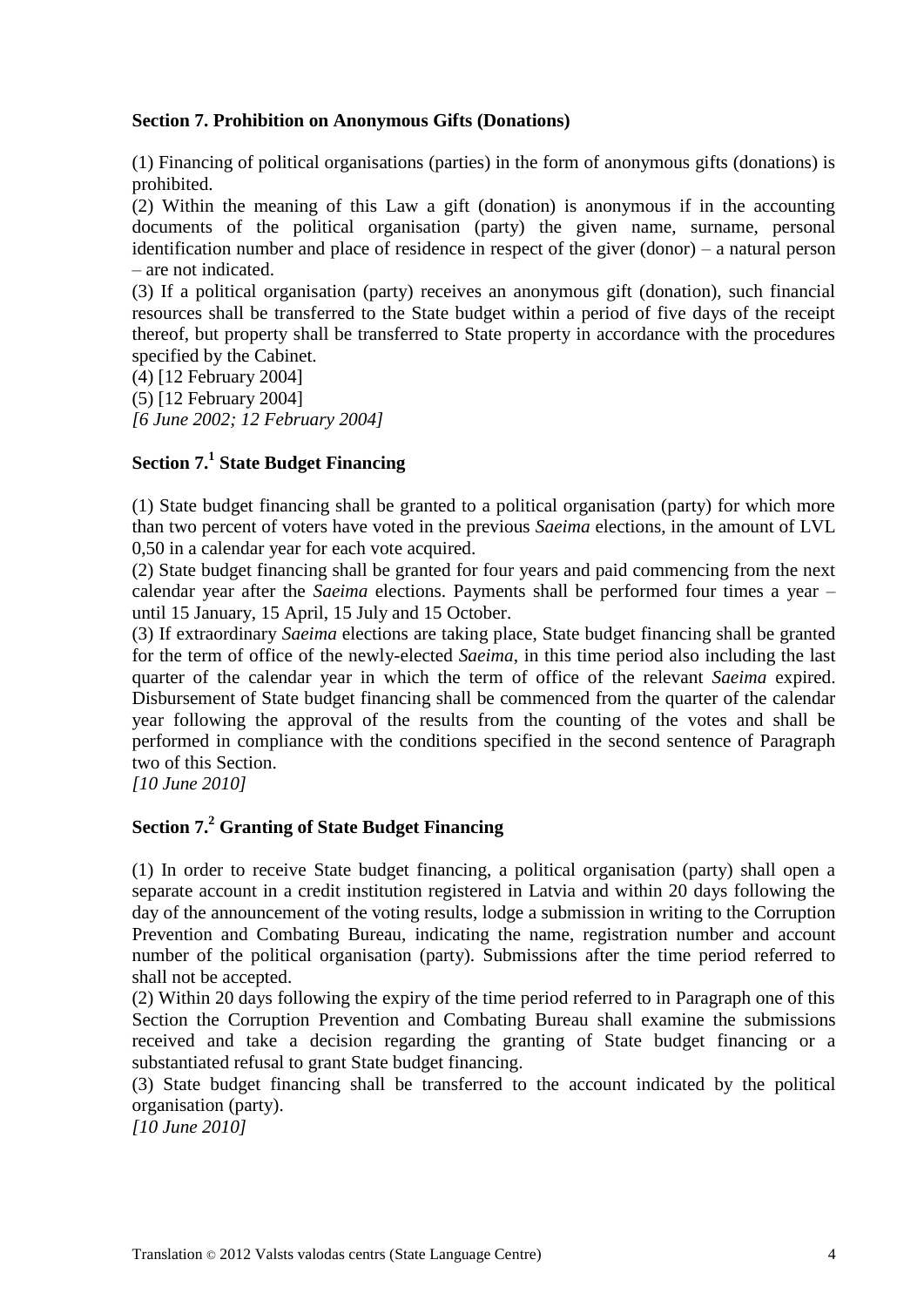### **Section 7. Prohibition on Anonymous Gifts (Donations)**

(1) Financing of political organisations (parties) in the form of anonymous gifts (donations) is prohibited.

(2) Within the meaning of this Law a gift (donation) is anonymous if in the accounting documents of the political organisation (party) the given name, surname, personal identification number and place of residence in respect of the giver (donor) – a natural person – are not indicated.

(3) If a political organisation (party) receives an anonymous gift (donation), such financial resources shall be transferred to the State budget within a period of five days of the receipt thereof, but property shall be transferred to State property in accordance with the procedures specified by the Cabinet.

(4) [12 February 2004]

(5) [12 February 2004]

*[6 June 2002; 12 February 2004]*

# **Section 7.<sup>1</sup> State Budget Financing**

(1) State budget financing shall be granted to a political organisation (party) for which more than two percent of voters have voted in the previous *Saeima* elections, in the amount of LVL 0,50 in a calendar year for each vote acquired.

(2) State budget financing shall be granted for four years and paid commencing from the next calendar year after the *Saeima* elections. Payments shall be performed four times a year – until 15 January, 15 April, 15 July and 15 October.

(3) If extraordinary *Saeima* elections are taking place, State budget financing shall be granted for the term of office of the newly-elected *Saeima*, in this time period also including the last quarter of the calendar year in which the term of office of the relevant *Saeima* expired. Disbursement of State budget financing shall be commenced from the quarter of the calendar year following the approval of the results from the counting of the votes and shall be performed in compliance with the conditions specified in the second sentence of Paragraph two of this Section.

*[10 June 2010]*

# **Section 7.<sup>2</sup> Granting of State Budget Financing**

(1) In order to receive State budget financing, a political organisation (party) shall open a separate account in a credit institution registered in Latvia and within 20 days following the day of the announcement of the voting results, lodge a submission in writing to the Corruption Prevention and Combating Bureau, indicating the name, registration number and account number of the political organisation (party). Submissions after the time period referred to shall not be accepted.

(2) Within 20 days following the expiry of the time period referred to in Paragraph one of this Section the Corruption Prevention and Combating Bureau shall examine the submissions received and take a decision regarding the granting of State budget financing or a substantiated refusal to grant State budget financing.

(3) State budget financing shall be transferred to the account indicated by the political organisation (party).

*[10 June 2010]*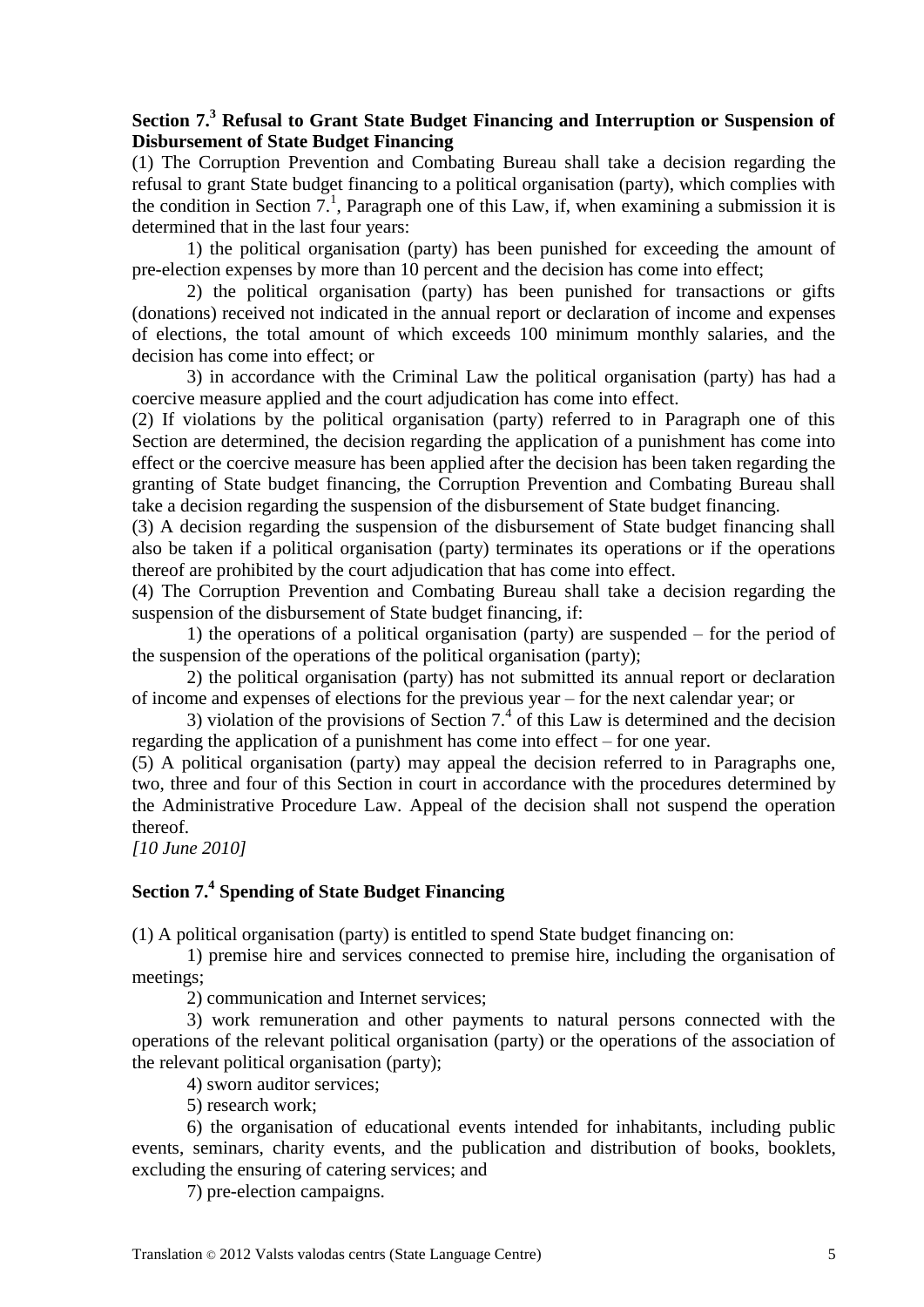# **Section 7.<sup>3</sup> Refusal to Grant State Budget Financing and Interruption or Suspension of Disbursement of State Budget Financing**

(1) The Corruption Prevention and Combating Bureau shall take a decision regarding the refusal to grant State budget financing to a political organisation (party), which complies with the condition in Section 7.<sup>1</sup>, Paragraph one of this Law, if, when examining a submission it is determined that in the last four years:

1) the political organisation (party) has been punished for exceeding the amount of pre-election expenses by more than 10 percent and the decision has come into effect;

2) the political organisation (party) has been punished for transactions or gifts (donations) received not indicated in the annual report or declaration of income and expenses of elections, the total amount of which exceeds 100 minimum monthly salaries, and the decision has come into effect; or

3) in accordance with the Criminal Law the political organisation (party) has had a coercive measure applied and the court adjudication has come into effect.

(2) If violations by the political organisation (party) referred to in Paragraph one of this Section are determined, the decision regarding the application of a punishment has come into effect or the coercive measure has been applied after the decision has been taken regarding the granting of State budget financing, the Corruption Prevention and Combating Bureau shall take a decision regarding the suspension of the disbursement of State budget financing.

(3) A decision regarding the suspension of the disbursement of State budget financing shall also be taken if a political organisation (party) terminates its operations or if the operations thereof are prohibited by the court adjudication that has come into effect.

(4) The Corruption Prevention and Combating Bureau shall take a decision regarding the suspension of the disbursement of State budget financing, if:

1) the operations of a political organisation (party) are suspended – for the period of the suspension of the operations of the political organisation (party);

2) the political organisation (party) has not submitted its annual report or declaration of income and expenses of elections for the previous year – for the next calendar year; or

3) violation of the provisions of Section  $7<sup>4</sup>$  of this Law is determined and the decision regarding the application of a punishment has come into effect – for one year.

(5) A political organisation (party) may appeal the decision referred to in Paragraphs one, two, three and four of this Section in court in accordance with the procedures determined by the Administrative Procedure Law. Appeal of the decision shall not suspend the operation thereof.

*[10 June 2010]*

# **Section 7.<sup>4</sup> Spending of State Budget Financing**

(1) A political organisation (party) is entitled to spend State budget financing on:

1) premise hire and services connected to premise hire, including the organisation of meetings;

2) communication and Internet services;

3) work remuneration and other payments to natural persons connected with the operations of the relevant political organisation (party) or the operations of the association of the relevant political organisation (party);

4) sworn auditor services;

5) research work;

6) the organisation of educational events intended for inhabitants, including public events, seminars, charity events, and the publication and distribution of books, booklets, excluding the ensuring of catering services; and

7) pre-election campaigns.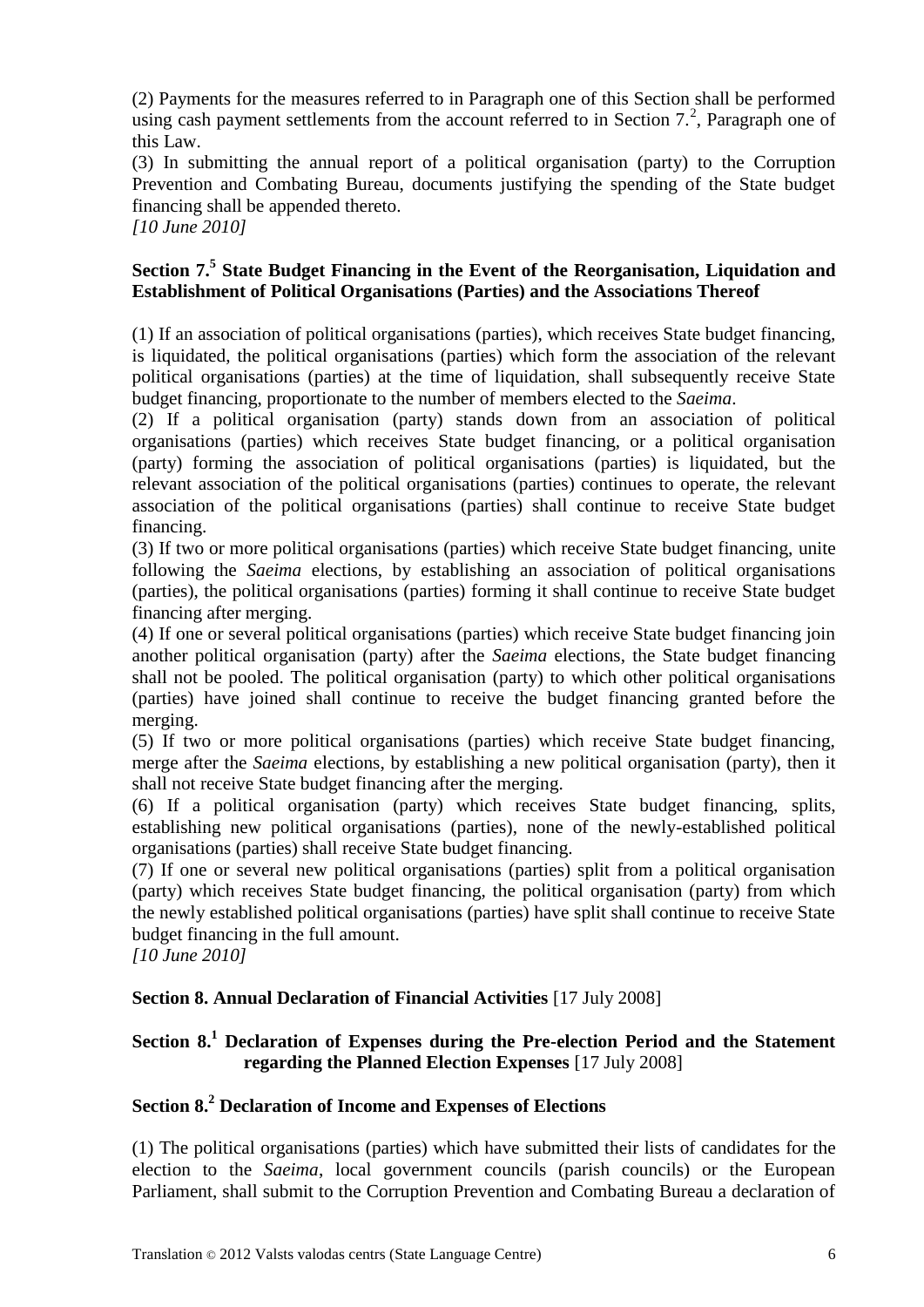(2) Payments for the measures referred to in Paragraph one of this Section shall be performed using cash payment settlements from the account referred to in Section  $7<sup>2</sup>$ , Paragraph one of this Law.

(3) In submitting the annual report of a political organisation (party) to the Corruption Prevention and Combating Bureau, documents justifying the spending of the State budget financing shall be appended thereto.

*[10 June 2010]*

## **Section 7.<sup>5</sup> State Budget Financing in the Event of the Reorganisation, Liquidation and Establishment of Political Organisations (Parties) and the Associations Thereof**

(1) If an association of political organisations (parties), which receives State budget financing, is liquidated, the political organisations (parties) which form the association of the relevant political organisations (parties) at the time of liquidation, shall subsequently receive State budget financing, proportionate to the number of members elected to the *Saeima*.

(2) If a political organisation (party) stands down from an association of political organisations (parties) which receives State budget financing, or a political organisation (party) forming the association of political organisations (parties) is liquidated, but the relevant association of the political organisations (parties) continues to operate, the relevant association of the political organisations (parties) shall continue to receive State budget financing.

(3) If two or more political organisations (parties) which receive State budget financing, unite following the *Saeima* elections, by establishing an association of political organisations (parties), the political organisations (parties) forming it shall continue to receive State budget financing after merging.

(4) If one or several political organisations (parties) which receive State budget financing join another political organisation (party) after the *Saeima* elections, the State budget financing shall not be pooled. The political organisation (party) to which other political organisations (parties) have joined shall continue to receive the budget financing granted before the merging.

(5) If two or more political organisations (parties) which receive State budget financing, merge after the *Saeima* elections, by establishing a new political organisation (party), then it shall not receive State budget financing after the merging.

(6) If a political organisation (party) which receives State budget financing, splits, establishing new political organisations (parties), none of the newly-established political organisations (parties) shall receive State budget financing.

(7) If one or several new political organisations (parties) split from a political organisation (party) which receives State budget financing, the political organisation (party) from which the newly established political organisations (parties) have split shall continue to receive State budget financing in the full amount.

*[10 June 2010]*

## **Section 8. Annual Declaration of Financial Activities** [17 July 2008]

# **Section 8.<sup>1</sup> Declaration of Expenses during the Pre-election Period and the Statement regarding the Planned Election Expenses** [17 July 2008]

## **Section 8.<sup>2</sup> Declaration of Income and Expenses of Elections**

(1) The political organisations (parties) which have submitted their lists of candidates for the election to the *Saeima*, local government councils (parish councils) or the European Parliament, shall submit to the Corruption Prevention and Combating Bureau a declaration of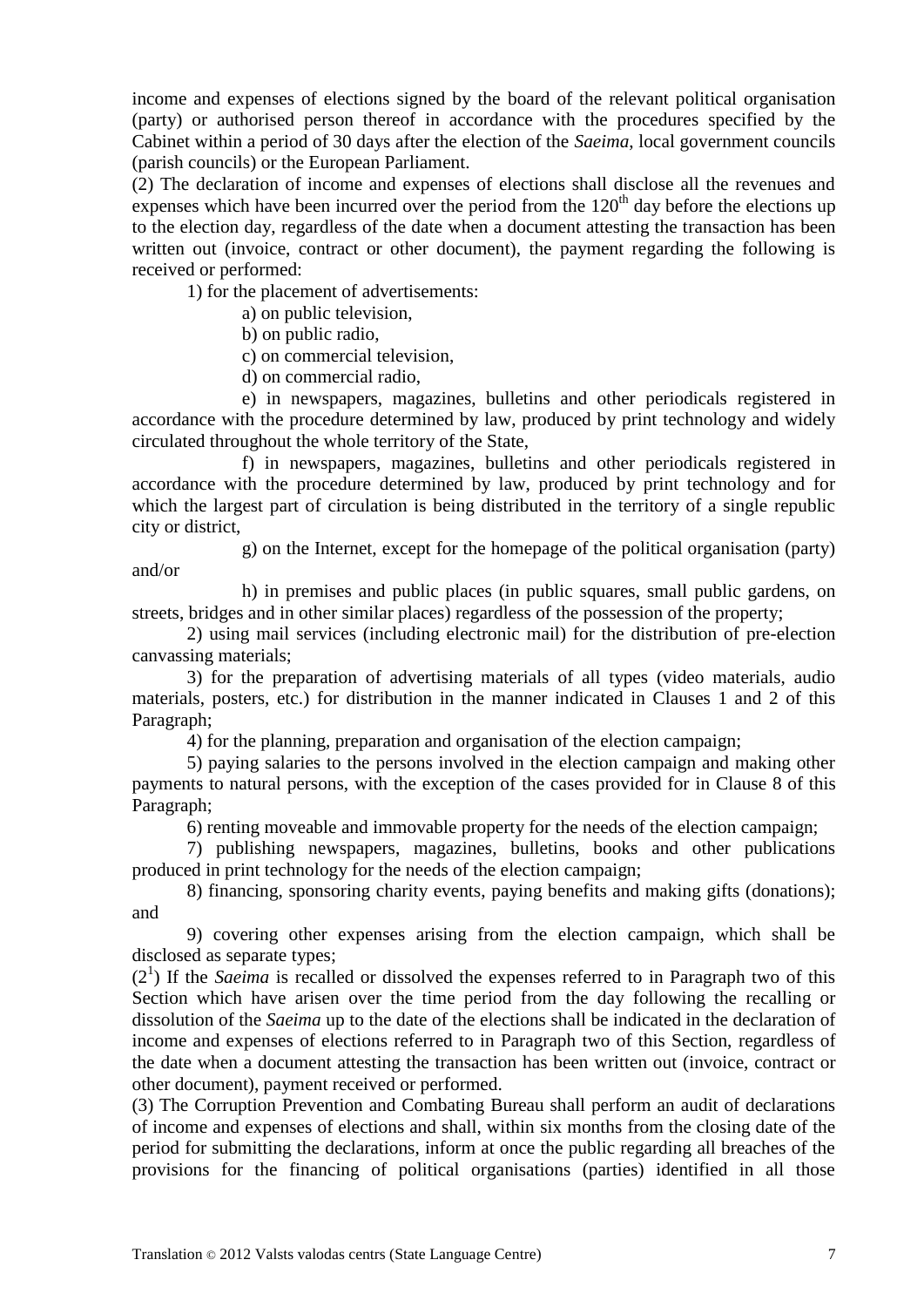income and expenses of elections signed by the board of the relevant political organisation (party) or authorised person thereof in accordance with the procedures specified by the Cabinet within a period of 30 days after the election of the *Saeima*, local government councils (parish councils) or the European Parliament.

(2) The declaration of income and expenses of elections shall disclose all the revenues and expenses which have been incurred over the period from the  $120<sup>th</sup>$  day before the elections up to the election day, regardless of the date when a document attesting the transaction has been written out (invoice, contract or other document), the payment regarding the following is received or performed:

1) for the placement of advertisements:

a) on public television,

b) on public radio,

and/or

c) on commercial television,

d) on commercial radio,

e) in newspapers, magazines, bulletins and other periodicals registered in accordance with the procedure determined by law, produced by print technology and widely circulated throughout the whole territory of the State,

f) in newspapers, magazines, bulletins and other periodicals registered in accordance with the procedure determined by law, produced by print technology and for which the largest part of circulation is being distributed in the territory of a single republic city or district,

g) on the Internet, except for the homepage of the political organisation (party)

h) in premises and public places (in public squares, small public gardens, on streets, bridges and in other similar places) regardless of the possession of the property;

2) using mail services (including electronic mail) for the distribution of pre-election canvassing materials;

3) for the preparation of advertising materials of all types (video materials, audio materials, posters, etc.) for distribution in the manner indicated in Clauses 1 and 2 of this Paragraph;

4) for the planning, preparation and organisation of the election campaign;

5) paying salaries to the persons involved in the election campaign and making other payments to natural persons, with the exception of the cases provided for in Clause 8 of this Paragraph;

6) renting moveable and immovable property for the needs of the election campaign;

7) publishing newspapers, magazines, bulletins, books and other publications produced in print technology for the needs of the election campaign;

8) financing, sponsoring charity events, paying benefits and making gifts (donations); and

9) covering other expenses arising from the election campaign, which shall be disclosed as separate types;

(21 ) If the *Saeima* is recalled or dissolved the expenses referred to in Paragraph two of this Section which have arisen over the time period from the day following the recalling or dissolution of the *Saeima* up to the date of the elections shall be indicated in the declaration of income and expenses of elections referred to in Paragraph two of this Section, regardless of the date when a document attesting the transaction has been written out (invoice, contract or other document), payment received or performed.

(3) The Corruption Prevention and Combating Bureau shall perform an audit of declarations of income and expenses of elections and shall, within six months from the closing date of the period for submitting the declarations, inform at once the public regarding all breaches of the provisions for the financing of political organisations (parties) identified in all those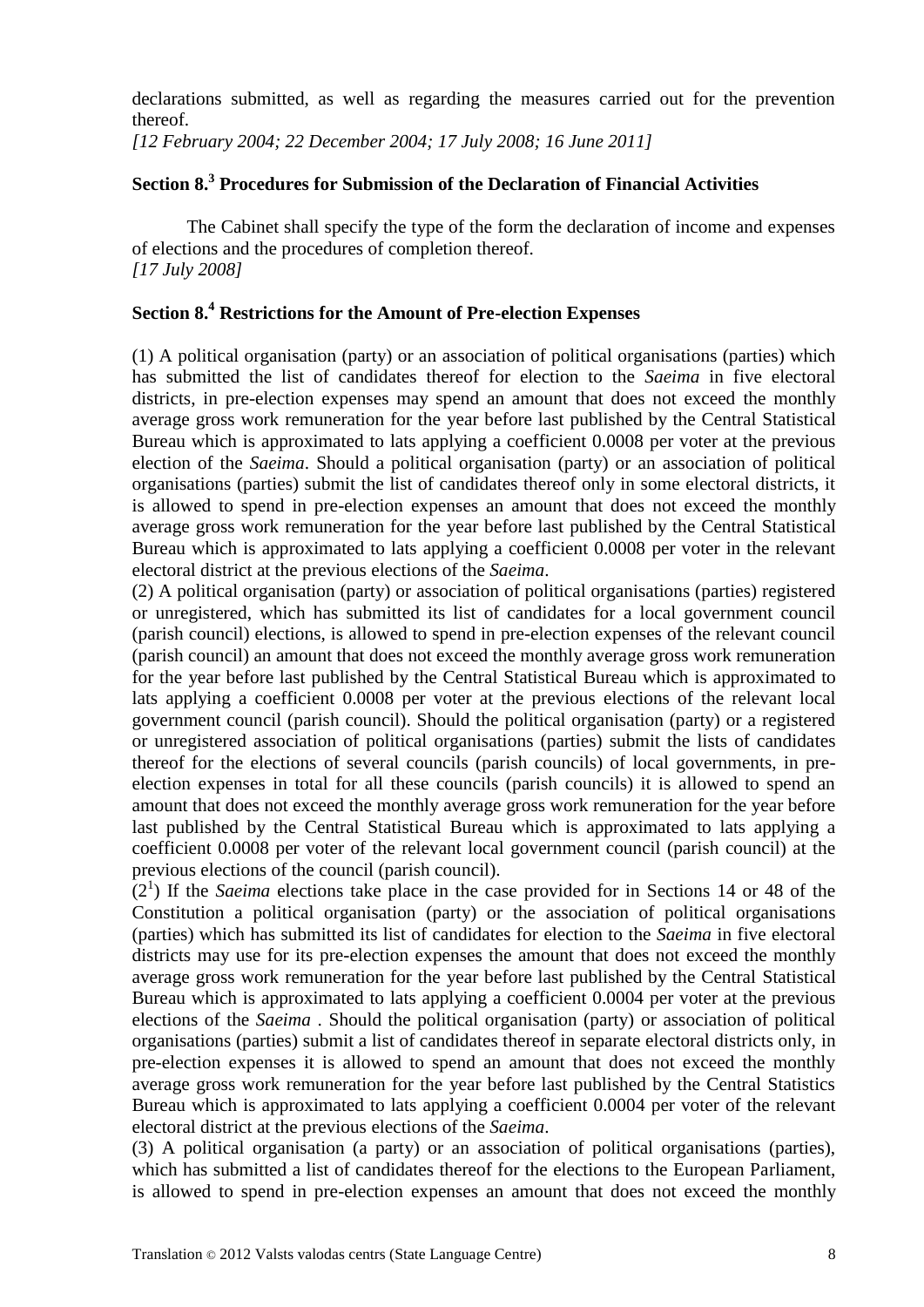declarations submitted, as well as regarding the measures carried out for the prevention thereof.

*[12 February 2004; 22 December 2004; 17 July 2008; 16 June 2011]*

# **Section 8.<sup>3</sup> Procedures for Submission of the Declaration of Financial Activities**

The Cabinet shall specify the type of the form the declaration of income and expenses of elections and the procedures of completion thereof. *[17 July 2008]*

# **Section 8.<sup>4</sup> Restrictions for the Amount of Pre-election Expenses**

(1) A political organisation (party) or an association of political organisations (parties) which has submitted the list of candidates thereof for election to the *Saeima* in five electoral districts, in pre-election expenses may spend an amount that does not exceed the monthly average gross work remuneration for the year before last published by the Central Statistical Bureau which is approximated to lats applying a coefficient 0.0008 per voter at the previous election of the *Saeima*. Should a political organisation (party) or an association of political organisations (parties) submit the list of candidates thereof only in some electoral districts, it is allowed to spend in pre-election expenses an amount that does not exceed the monthly average gross work remuneration for the year before last published by the Central Statistical Bureau which is approximated to lats applying a coefficient 0.0008 per voter in the relevant electoral district at the previous elections of the *Saeima*.

(2) A political organisation (party) or association of political organisations (parties) registered or unregistered, which has submitted its list of candidates for a local government council (parish council) elections, is allowed to spend in pre-election expenses of the relevant council (parish council) an amount that does not exceed the monthly average gross work remuneration for the year before last published by the Central Statistical Bureau which is approximated to lats applying a coefficient 0.0008 per voter at the previous elections of the relevant local government council (parish council). Should the political organisation (party) or a registered or unregistered association of political organisations (parties) submit the lists of candidates thereof for the elections of several councils (parish councils) of local governments, in preelection expenses in total for all these councils (parish councils) it is allowed to spend an amount that does not exceed the monthly average gross work remuneration for the year before last published by the Central Statistical Bureau which is approximated to lats applying a coefficient 0.0008 per voter of the relevant local government council (parish council) at the previous elections of the council (parish council).

 $(2<sup>1</sup>)$  If the *Saeima* elections take place in the case provided for in Sections 14 or 48 of the Constitution a political organisation (party) or the association of political organisations (parties) which has submitted its list of candidates for election to the *Saeima* in five electoral districts may use for its pre-election expenses the amount that does not exceed the monthly average gross work remuneration for the year before last published by the Central Statistical Bureau which is approximated to lats applying a coefficient 0.0004 per voter at the previous elections of the *Saeima* . Should the political organisation (party) or association of political organisations (parties) submit a list of candidates thereof in separate electoral districts only, in pre-election expenses it is allowed to spend an amount that does not exceed the monthly average gross work remuneration for the year before last published by the Central Statistics Bureau which is approximated to lats applying a coefficient 0.0004 per voter of the relevant electoral district at the previous elections of the *Saeima*.

(3) A political organisation (a party) or an association of political organisations (parties), which has submitted a list of candidates thereof for the elections to the European Parliament, is allowed to spend in pre-election expenses an amount that does not exceed the monthly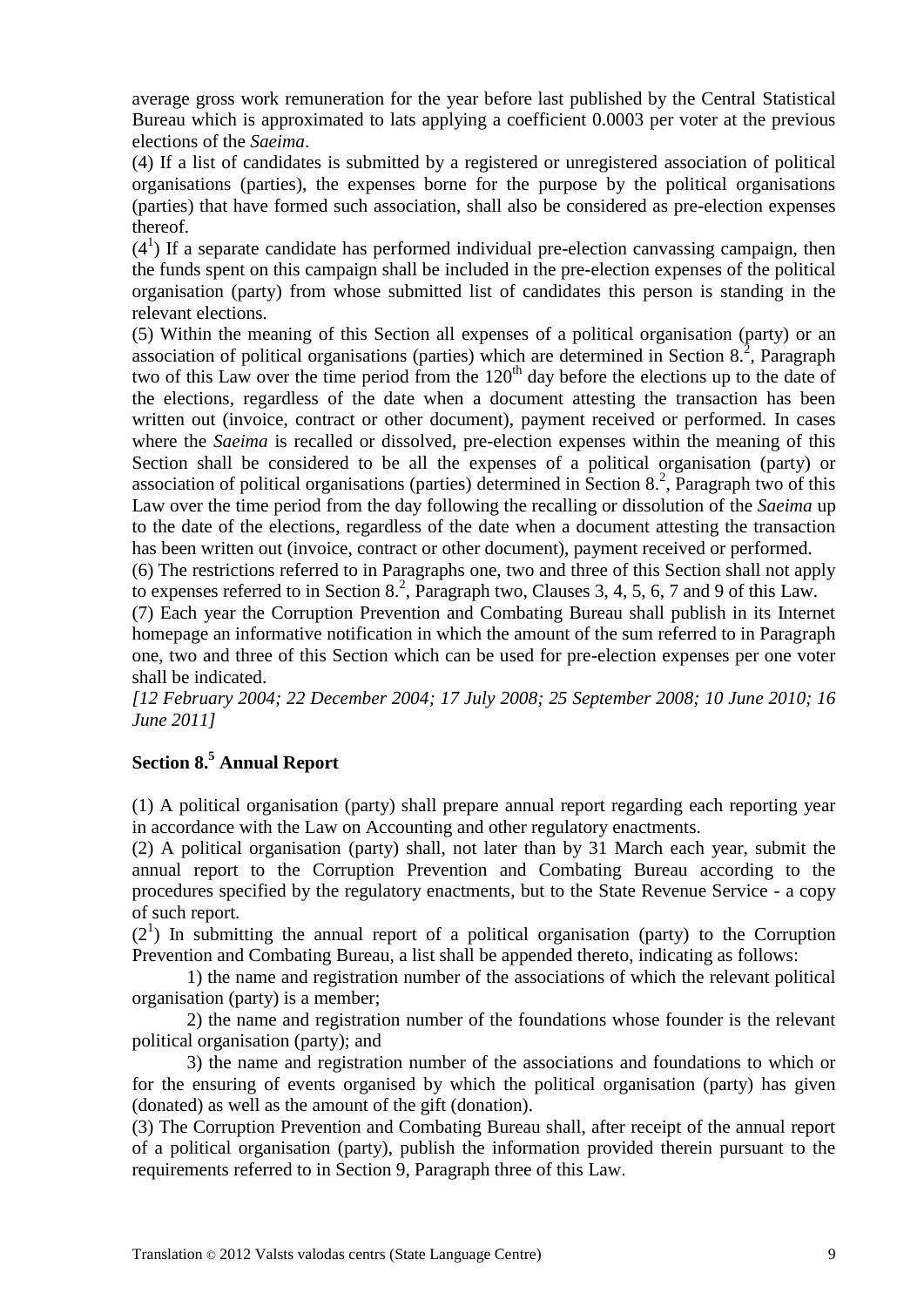average gross work remuneration for the year before last published by the Central Statistical Bureau which is approximated to lats applying a coefficient 0.0003 per voter at the previous elections of the *Saeima*.

(4) If a list of candidates is submitted by a registered or unregistered association of political organisations (parties), the expenses borne for the purpose by the political organisations (parties) that have formed such association, shall also be considered as pre-election expenses thereof.

 $(4<sup>1</sup>)$  If a separate candidate has performed individual pre-election canvassing campaign, then the funds spent on this campaign shall be included in the pre-election expenses of the political organisation (party) from whose submitted list of candidates this person is standing in the relevant elections.

(5) Within the meaning of this Section all expenses of a political organisation (party) or an association of political organisations (parties) which are determined in Section  $8<sup>2</sup>$ , Paragraph two of this Law over the time period from the  $120<sup>th</sup>$  day before the elections up to the date of the elections, regardless of the date when a document attesting the transaction has been written out (invoice, contract or other document), payment received or performed. In cases where the *Saeima* is recalled or dissolved, pre-election expenses within the meaning of this Section shall be considered to be all the expenses of a political organisation (party) or association of political organisations (parties) determined in Section 8.<sup>2</sup>, Paragraph two of this Law over the time period from the day following the recalling or dissolution of the *Saeima* up to the date of the elections, regardless of the date when a document attesting the transaction has been written out (invoice, contract or other document), payment received or performed.

(6) The restrictions referred to in Paragraphs one, two and three of this Section shall not apply to expenses referred to in Section 8.<sup>2</sup>, Paragraph two, Clauses 3, 4, 5, 6, 7 and 9 of this Law.

(7) Each year the Corruption Prevention and Combating Bureau shall publish in its Internet homepage an informative notification in which the amount of the sum referred to in Paragraph one, two and three of this Section which can be used for pre-election expenses per one voter shall be indicated.

*[12 February 2004; 22 December 2004; 17 July 2008; 25 September 2008; 10 June 2010; 16 June 2011]*

# **Section 8.<sup>5</sup> Annual Report**

(1) A political organisation (party) shall prepare annual report regarding each reporting year in accordance with the Law on Accounting and other regulatory enactments.

(2) A political organisation (party) shall, not later than by 31 March each year, submit the annual report to the Corruption Prevention and Combating Bureau according to the procedures specified by the regulatory enactments, but to the State Revenue Service - a copy of such report.

 $(2<sup>1</sup>)$  In submitting the annual report of a political organisation (party) to the Corruption Prevention and Combating Bureau, a list shall be appended thereto, indicating as follows:

1) the name and registration number of the associations of which the relevant political organisation (party) is a member;

2) the name and registration number of the foundations whose founder is the relevant political organisation (party); and

3) the name and registration number of the associations and foundations to which or for the ensuring of events organised by which the political organisation (party) has given (donated) as well as the amount of the gift (donation).

(3) The Corruption Prevention and Combating Bureau shall, after receipt of the annual report of a political organisation (party), publish the information provided therein pursuant to the requirements referred to in Section 9, Paragraph three of this Law.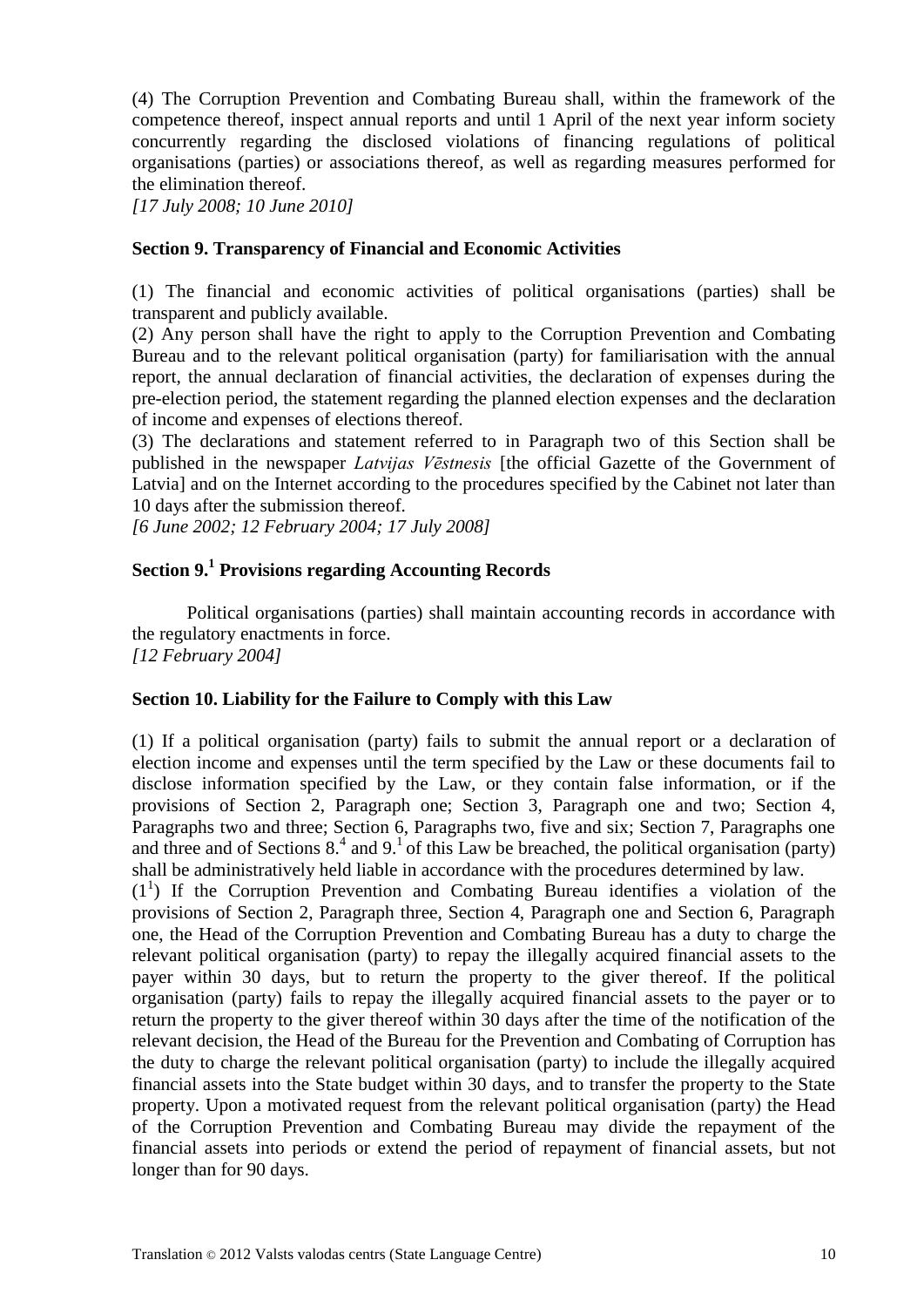(4) The Corruption Prevention and Combating Bureau shall, within the framework of the competence thereof, inspect annual reports and until 1 April of the next year inform society concurrently regarding the disclosed violations of financing regulations of political organisations (parties) or associations thereof, as well as regarding measures performed for the elimination thereof.

*[17 July 2008; 10 June 2010]* 

### **Section 9. Transparency of Financial and Economic Activities**

(1) The financial and economic activities of political organisations (parties) shall be transparent and publicly available.

(2) Any person shall have the right to apply to the Corruption Prevention and Combating Bureau and to the relevant political organisation (party) for familiarisation with the annual report, the annual declaration of financial activities, the declaration of expenses during the pre-election period, the statement regarding the planned election expenses and the declaration of income and expenses of elections thereof.

(3) The declarations and statement referred to in Paragraph two of this Section shall be published in the newspaper *Latvijas Vēstnesis* [the official Gazette of the Government of Latvia] and on the Internet according to the procedures specified by the Cabinet not later than 10 days after the submission thereof.

*[6 June 2002; 12 February 2004; 17 July 2008]*

# **Section 9.<sup>1</sup> Provisions regarding Accounting Records**

Political organisations (parties) shall maintain accounting records in accordance with the regulatory enactments in force. *[12 February 2004]*

### **Section 10. Liability for the Failure to Comply with this Law**

(1) If a political organisation (party) fails to submit the annual report or a declaration of election income and expenses until the term specified by the Law or these documents fail to disclose information specified by the Law, or they contain false information, or if the provisions of Section 2, Paragraph one; Section 3, Paragraph one and two; Section 4, Paragraphs two and three; Section 6, Paragraphs two, five and six; Section 7, Paragraphs one and three and of Sections  $8<sup>4</sup>$  and  $9<sup>1</sup>$  of this Law be breached, the political organisation (party) shall be administratively held liable in accordance with the procedures determined by law.

 $(1<sup>1</sup>)$  If the Corruption Prevention and Combating Bureau identifies a violation of the provisions of Section 2, Paragraph three, Section 4, Paragraph one and Section 6, Paragraph one, the Head of the Corruption Prevention and Combating Bureau has a duty to charge the relevant political organisation (party) to repay the illegally acquired financial assets to the payer within 30 days, but to return the property to the giver thereof. If the political organisation (party) fails to repay the illegally acquired financial assets to the payer or to return the property to the giver thereof within 30 days after the time of the notification of the relevant decision, the Head of the Bureau for the Prevention and Combating of Corruption has the duty to charge the relevant political organisation (party) to include the illegally acquired financial assets into the State budget within 30 days, and to transfer the property to the State property. Upon a motivated request from the relevant political organisation (party) the Head of the Corruption Prevention and Combating Bureau may divide the repayment of the financial assets into periods or extend the period of repayment of financial assets, but not longer than for 90 days.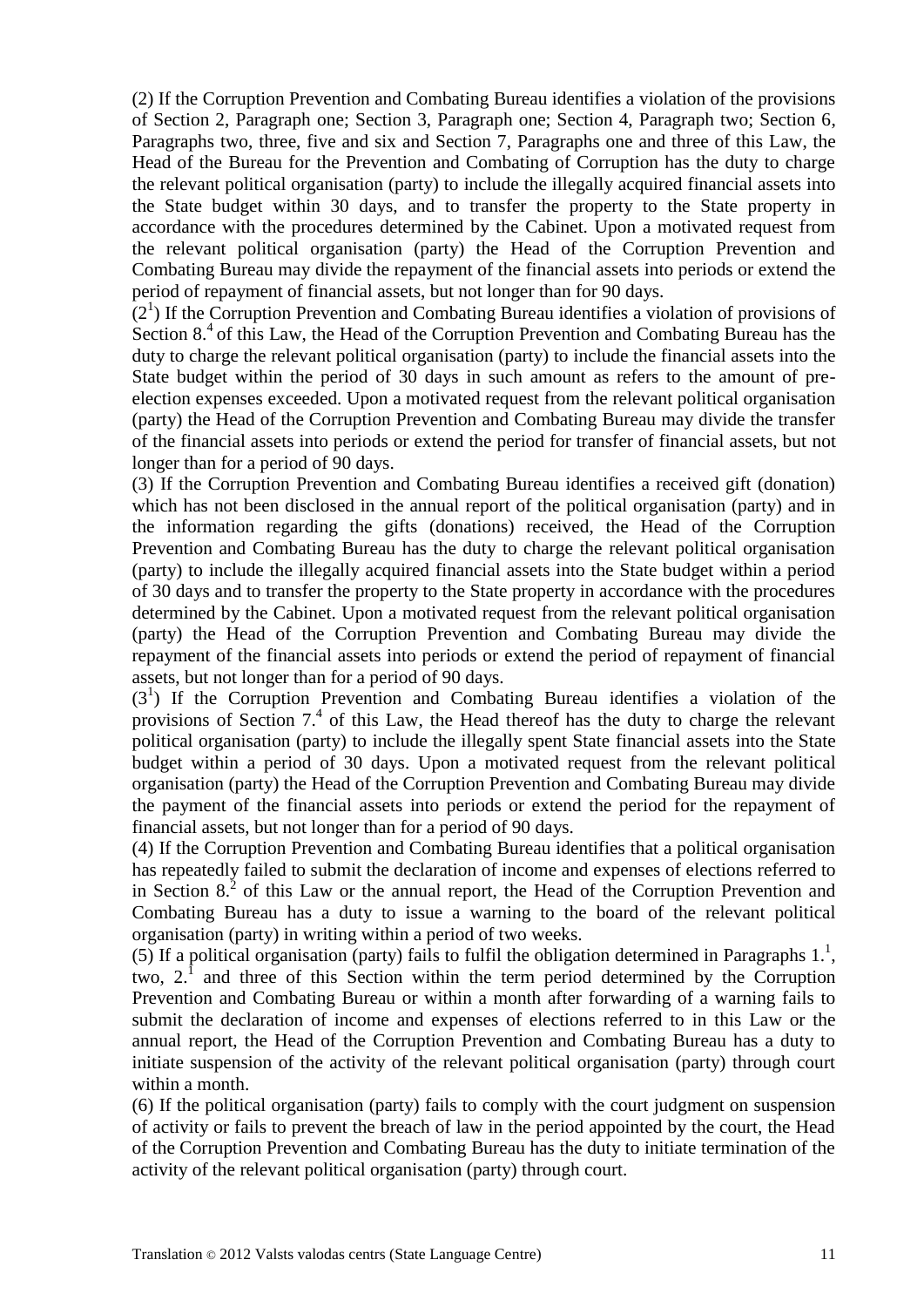(2) If the Corruption Prevention and Combating Bureau identifies a violation of the provisions of Section 2, Paragraph one; Section 3, Paragraph one; Section 4, Paragraph two; Section 6, Paragraphs two, three, five and six and Section 7, Paragraphs one and three of this Law, the Head of the Bureau for the Prevention and Combating of Corruption has the duty to charge the relevant political organisation (party) to include the illegally acquired financial assets into the State budget within 30 days, and to transfer the property to the State property in accordance with the procedures determined by the Cabinet. Upon a motivated request from the relevant political organisation (party) the Head of the Corruption Prevention and Combating Bureau may divide the repayment of the financial assets into periods or extend the period of repayment of financial assets, but not longer than for 90 days.

 $(2<sup>1</sup>)$  If the Corruption Prevention and Combating Bureau identifies a violation of provisions of Section  $8<sup>4</sup>$  of this Law, the Head of the Corruption Prevention and Combating Bureau has the duty to charge the relevant political organisation (party) to include the financial assets into the State budget within the period of 30 days in such amount as refers to the amount of preelection expenses exceeded. Upon a motivated request from the relevant political organisation (party) the Head of the Corruption Prevention and Combating Bureau may divide the transfer of the financial assets into periods or extend the period for transfer of financial assets, but not longer than for a period of 90 days.

(3) If the Corruption Prevention and Combating Bureau identifies a received gift (donation) which has not been disclosed in the annual report of the political organisation (party) and in the information regarding the gifts (donations) received, the Head of the Corruption Prevention and Combating Bureau has the duty to charge the relevant political organisation (party) to include the illegally acquired financial assets into the State budget within a period of 30 days and to transfer the property to the State property in accordance with the procedures determined by the Cabinet. Upon a motivated request from the relevant political organisation (party) the Head of the Corruption Prevention and Combating Bureau may divide the repayment of the financial assets into periods or extend the period of repayment of financial assets, but not longer than for a period of 90 days.

(3<sup>1</sup>) If the Corruption Prevention and Combating Bureau identifies a violation of the provisions of Section  $7<sup>4</sup>$  of this Law, the Head thereof has the duty to charge the relevant political organisation (party) to include the illegally spent State financial assets into the State budget within a period of 30 days. Upon a motivated request from the relevant political organisation (party) the Head of the Corruption Prevention and Combating Bureau may divide the payment of the financial assets into periods or extend the period for the repayment of financial assets, but not longer than for a period of 90 days.

(4) If the Corruption Prevention and Combating Bureau identifies that a political organisation has repeatedly failed to submit the declaration of income and expenses of elections referred to in Section  $8<sup>2</sup>$  of this Law or the annual report, the Head of the Corruption Prevention and Combating Bureau has a duty to issue a warning to the board of the relevant political organisation (party) in writing within a period of two weeks.

(5) If a political organisation (party) fails to fulfil the obligation determined in Paragraphs  $1<sup>1</sup>$ , two,  $2^1$  and three of this Section within the term period determined by the Corruption Prevention and Combating Bureau or within a month after forwarding of a warning fails to submit the declaration of income and expenses of elections referred to in this Law or the annual report, the Head of the Corruption Prevention and Combating Bureau has a duty to initiate suspension of the activity of the relevant political organisation (party) through court within a month.

(6) If the political organisation (party) fails to comply with the court judgment on suspension of activity or fails to prevent the breach of law in the period appointed by the court, the Head of the Corruption Prevention and Combating Bureau has the duty to initiate termination of the activity of the relevant political organisation (party) through court.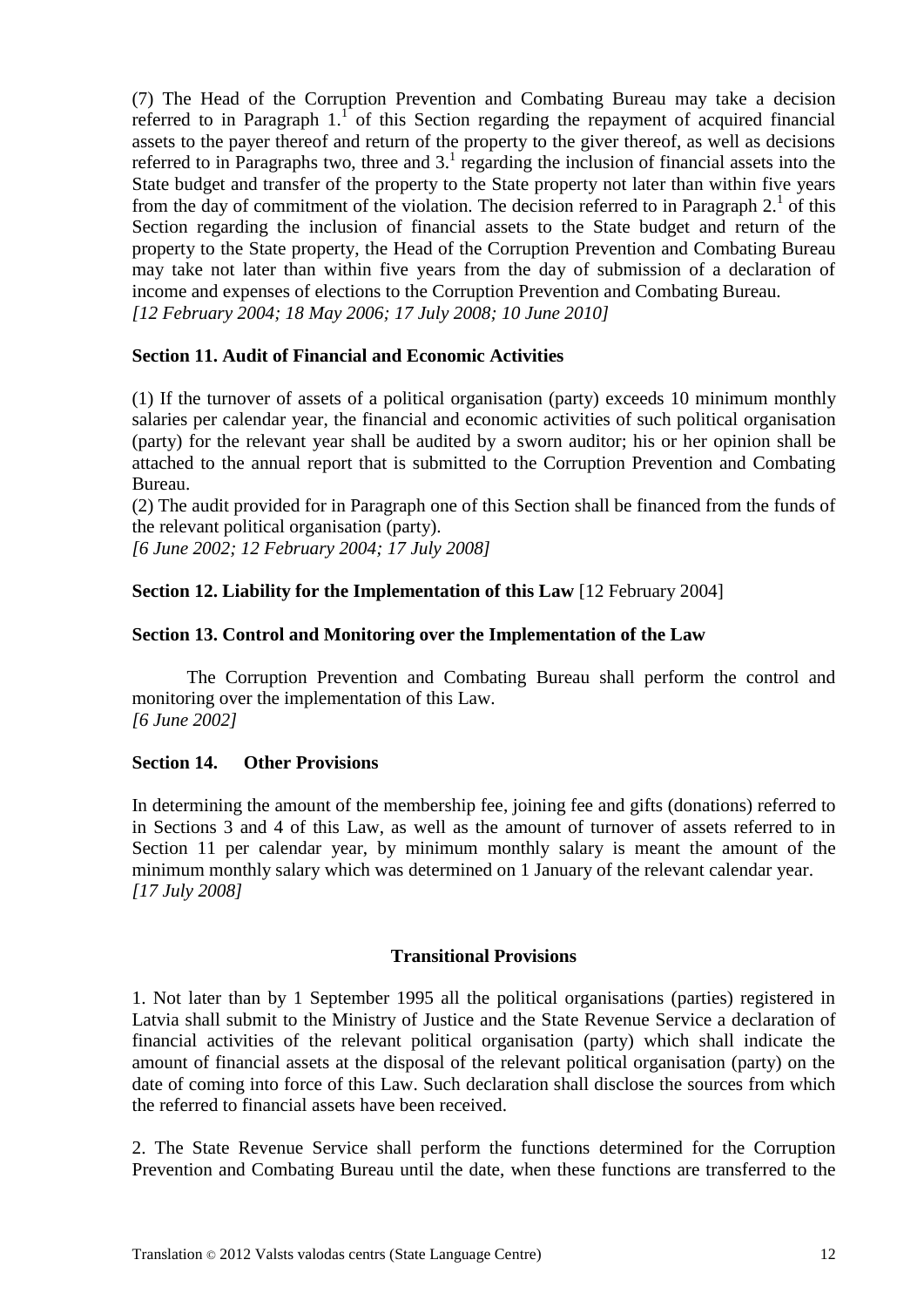(7) The Head of the Corruption Prevention and Combating Bureau may take a decision referred to in Paragraph  $1<sup>1</sup>$  of this Section regarding the repayment of acquired financial assets to the payer thereof and return of the property to the giver thereof, as well as decisions referred to in Paragraphs two, three and  $3<sup>1</sup>$  regarding the inclusion of financial assets into the State budget and transfer of the property to the State property not later than within five years from the day of commitment of the violation. The decision referred to in Paragraph  $2<sup>1</sup>$  of this Section regarding the inclusion of financial assets to the State budget and return of the property to the State property, the Head of the Corruption Prevention and Combating Bureau may take not later than within five years from the day of submission of a declaration of income and expenses of elections to the Corruption Prevention and Combating Bureau. *[12 February 2004; 18 May 2006; 17 July 2008; 10 June 2010]*

### **Section 11. Audit of Financial and Economic Activities**

(1) If the turnover of assets of a political organisation (party) exceeds 10 minimum monthly salaries per calendar year, the financial and economic activities of such political organisation (party) for the relevant year shall be audited by a sworn auditor; his or her opinion shall be attached to the annual report that is submitted to the Corruption Prevention and Combating Bureau.

(2) The audit provided for in Paragraph one of this Section shall be financed from the funds of the relevant political organisation (party).

*[6 June 2002; 12 February 2004; 17 July 2008]*

## **Section 12. Liability for the Implementation of this Law** [12 February 2004]

### **Section 13. Control and Monitoring over the Implementation of the Law**

The Corruption Prevention and Combating Bureau shall perform the control and monitoring over the implementation of this Law. *[6 June 2002]*

### **Section 14. Other Provisions**

In determining the amount of the membership fee, joining fee and gifts (donations) referred to in Sections 3 and 4 of this Law, as well as the amount of turnover of assets referred to in Section 11 per calendar year, by minimum monthly salary is meant the amount of the minimum monthly salary which was determined on 1 January of the relevant calendar year. *[17 July 2008]*

### **Transitional Provisions**

1. Not later than by 1 September 1995 all the political organisations (parties) registered in Latvia shall submit to the Ministry of Justice and the State Revenue Service a declaration of financial activities of the relevant political organisation (party) which shall indicate the amount of financial assets at the disposal of the relevant political organisation (party) on the date of coming into force of this Law. Such declaration shall disclose the sources from which the referred to financial assets have been received.

2. The State Revenue Service shall perform the functions determined for the Corruption Prevention and Combating Bureau until the date, when these functions are transferred to the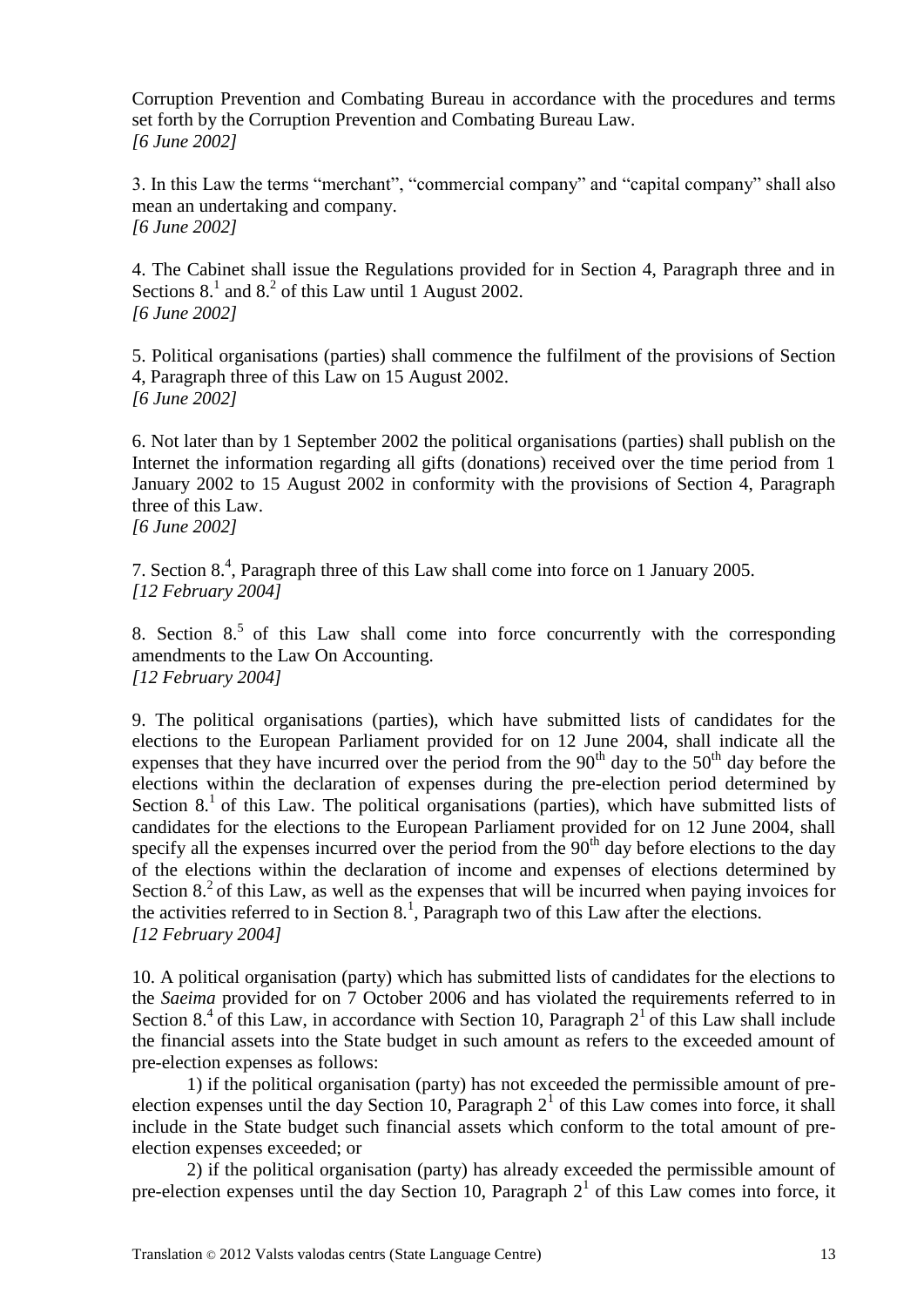Corruption Prevention and Combating Bureau in accordance with the procedures and terms set forth by the Corruption Prevention and Combating Bureau Law. *[6 June 2002]*

3. In this Law the terms "merchant", "commercial company" and "capital company" shall also mean an undertaking and company. *[6 June 2002]*

4. The Cabinet shall issue the Regulations provided for in Section 4, Paragraph three and in Sections  $8<sup>1</sup>$  and  $8<sup>2</sup>$  of this Law until 1 August 2002. *[6 June 2002]*

5. Political organisations (parties) shall commence the fulfilment of the provisions of Section 4, Paragraph three of this Law on 15 August 2002. *[6 June 2002]*

6. Not later than by 1 September 2002 the political organisations (parties) shall publish on the Internet the information regarding all gifts (donations) received over the time period from 1 January 2002 to 15 August 2002 in conformity with the provisions of Section 4, Paragraph three of this Law.

```
[6 June 2002]
```
7. Section 8.<sup>4</sup>, Paragraph three of this Law shall come into force on 1 January 2005. *[12 February 2004]*

8. Section  $8<sup>5</sup>$  of this Law shall come into force concurrently with the corresponding amendments to the Law On Accounting. *[12 February 2004]*

9. The political organisations (parties), which have submitted lists of candidates for the elections to the European Parliament provided for on 12 June 2004, shall indicate all the expenses that they have incurred over the period from the  $90<sup>th</sup>$  day to the  $50<sup>th</sup>$  day before the elections within the declaration of expenses during the pre-election period determined by Section  $8<sup>1</sup>$  of this Law. The political organisations (parties), which have submitted lists of candidates for the elections to the European Parliament provided for on 12 June 2004, shall specify all the expenses incurred over the period from the  $90<sup>th</sup>$  day before elections to the day of the elections within the declaration of income and expenses of elections determined by Section  $8<sup>2</sup>$  of this Law, as well as the expenses that will be incurred when paying invoices for the activities referred to in Section  $8<sup>1</sup>$ , Paragraph two of this Law after the elections. *[12 February 2004]*

10. A political organisation (party) which has submitted lists of candidates for the elections to the *Saeima* provided for on 7 October 2006 and has violated the requirements referred to in Section  $8<sup>4</sup>$  of this Law, in accordance with Section 10, Paragraph  $2<sup>1</sup>$  of this Law shall include the financial assets into the State budget in such amount as refers to the exceeded amount of pre-election expenses as follows:

1) if the political organisation (party) has not exceeded the permissible amount of preelection expenses until the day Section 10, Paragraph  $2<sup>1</sup>$  of this Law comes into force, it shall include in the State budget such financial assets which conform to the total amount of preelection expenses exceeded; or

2) if the political organisation (party) has already exceeded the permissible amount of pre-election expenses until the day Section 10, Paragraph  $2<sup>1</sup>$  of this Law comes into force, it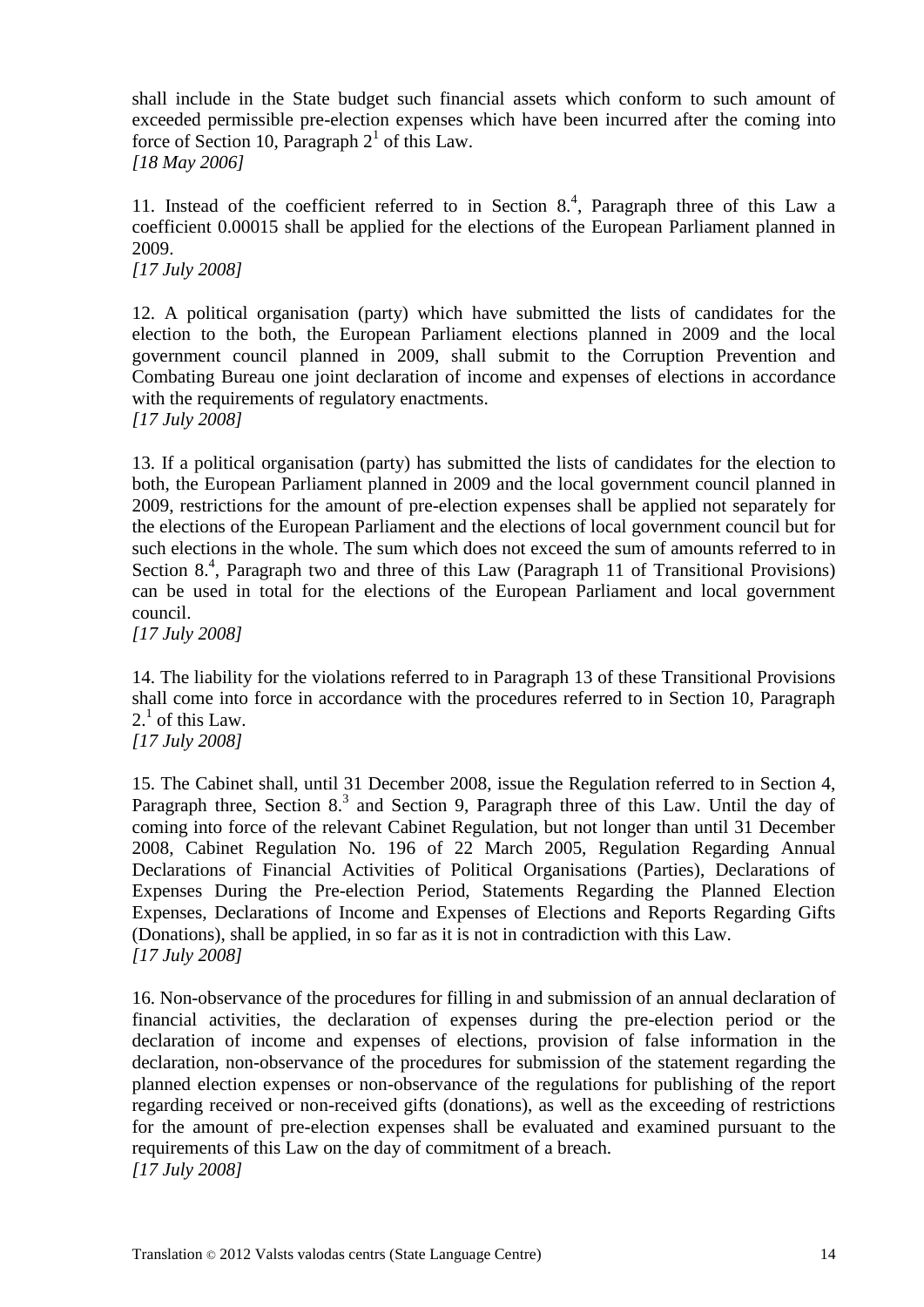shall include in the State budget such financial assets which conform to such amount of exceeded permissible pre-election expenses which have been incurred after the coming into force of Section 10, Paragraph  $2<sup>1</sup>$  of this Law. *[18 May 2006]*

11. Instead of the coefficient referred to in Section  $8<sup>4</sup>$ , Paragraph three of this Law a coefficient 0.00015 shall be applied for the elections of the European Parliament planned in 2009.

*[17 July 2008]*

12. A political organisation (party) which have submitted the lists of candidates for the election to the both, the European Parliament elections planned in 2009 and the local government council planned in 2009, shall submit to the Corruption Prevention and Combating Bureau one joint declaration of income and expenses of elections in accordance with the requirements of regulatory enactments. *[17 July 2008]*

13. If a political organisation (party) has submitted the lists of candidates for the election to both, the European Parliament planned in 2009 and the local government council planned in 2009, restrictions for the amount of pre-election expenses shall be applied not separately for the elections of the European Parliament and the elections of local government council but for such elections in the whole. The sum which does not exceed the sum of amounts referred to in Section  $8<sup>4</sup>$ , Paragraph two and three of this Law (Paragraph 11 of Transitional Provisions) can be used in total for the elections of the European Parliament and local government council.

*[17 July 2008]*

14. The liability for the violations referred to in Paragraph 13 of these Transitional Provisions shall come into force in accordance with the procedures referred to in Section 10, Paragraph  $2<sup>1</sup>$  of this Law.

*[17 July 2008]*

15. The Cabinet shall, until 31 December 2008, issue the Regulation referred to in Section 4, Paragraph three, Section  $8<sup>3</sup>$  and Section 9, Paragraph three of this Law. Until the day of coming into force of the relevant Cabinet Regulation, but not longer than until 31 December 2008, Cabinet Regulation No. 196 of 22 March 2005, Regulation Regarding Annual Declarations of Financial Activities of Political Organisations (Parties), Declarations of Expenses During the Pre-election Period, Statements Regarding the Planned Election Expenses, Declarations of Income and Expenses of Elections and Reports Regarding Gifts (Donations), shall be applied, in so far as it is not in contradiction with this Law. *[17 July 2008]*

16. Non-observance of the procedures for filling in and submission of an annual declaration of financial activities, the declaration of expenses during the pre-election period or the declaration of income and expenses of elections, provision of false information in the declaration, non-observance of the procedures for submission of the statement regarding the planned election expenses or non-observance of the regulations for publishing of the report regarding received or non-received gifts (donations), as well as the exceeding of restrictions for the amount of pre-election expenses shall be evaluated and examined pursuant to the requirements of this Law on the day of commitment of a breach. *[17 July 2008]*